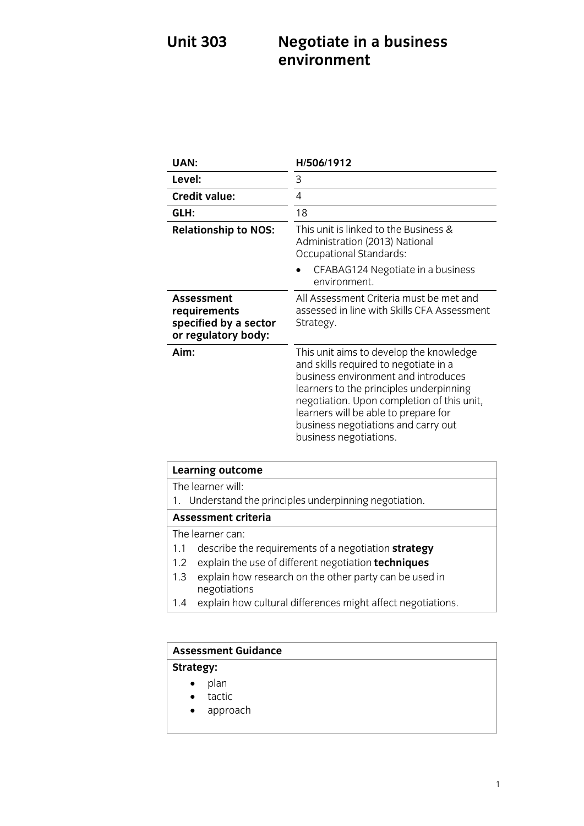# **Unit 303 Negotiate in a business**

| UAN:                                                                              | H/506/1912                                                                                                                                                                                                                                                                                                                |
|-----------------------------------------------------------------------------------|---------------------------------------------------------------------------------------------------------------------------------------------------------------------------------------------------------------------------------------------------------------------------------------------------------------------------|
| Level:                                                                            | 3                                                                                                                                                                                                                                                                                                                         |
| <b>Credit value:</b>                                                              | 4                                                                                                                                                                                                                                                                                                                         |
| GLH:                                                                              | 18                                                                                                                                                                                                                                                                                                                        |
| <b>Relationship to NOS:</b>                                                       | This unit is linked to the Business &<br>Administration (2013) National<br>Occupational Standards:                                                                                                                                                                                                                        |
|                                                                                   | CFABAG124 Negotiate in a business<br>environment.                                                                                                                                                                                                                                                                         |
| <b>Assessment</b><br>requirements<br>specified by a sector<br>or regulatory body: | All Assessment Criteria must be met and<br>assessed in line with Skills CFA Assessment<br>Strategy.                                                                                                                                                                                                                       |
| Aim:                                                                              | This unit aims to develop the knowledge<br>and skills required to negotiate in a<br>business environment and introduces<br>learners to the principles underpinning<br>negotiation. Upon completion of this unit,<br>learners will be able to prepare for<br>business negotiations and carry out<br>business negotiations. |

| <b>Learning outcome</b>                                                       |  |
|-------------------------------------------------------------------------------|--|
| The learner will:                                                             |  |
| 1. Understand the principles underpinning negotiation.                        |  |
| <b>Assessment criteria</b>                                                    |  |
| The learner can:                                                              |  |
| describe the requirements of a negotiation <b>strategy</b><br>1.1             |  |
| explain the use of different negotiation techniques<br>1.2                    |  |
| explain how research on the other party can be used in<br>1.3<br>negotiations |  |
| explain how cultural differences might affect negotiations.<br>1.4            |  |

### **Assessment Guidance Strategy:**  $\bullet$  plan<br> $\bullet$  tacti  $\bullet$  tactic approach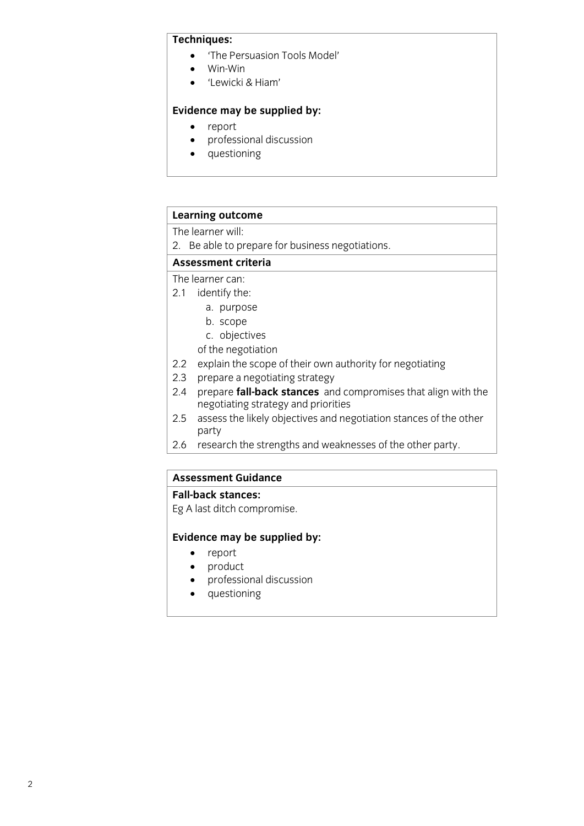#### Techniques:

- The Persuasion Tools Model'<br>• Win-Win
	- Win-Win
	- 'Lewicki & Hiam'

### **Evidence may be supplied by:**<br>• report

- report<br>• profes
- professional discussion<br>• auestioning
- questioning

## **Learning outcome**<br>The learner will:

2. Be able to prepare for business negotiations.

#### Assessment criteria

The learner can:

- 2.1 identify the:
	- a. purpose
	- b. scope
	- c. objectives
	- of the negotiation
- 2.2 explain the scope of their own authority for negotiating
- 2.3 prepare a negotiating strategy
- 2.4 prepare **fall-back stances** and compromises that align with the negotiating strategy and priorities
- 2.5 assess the likely objectives and negotiation stances of the other  $\frac{1}{2}$  assess the other increases and negotiation states  $\frac{1}{2}$  of the other increases of the other increases of the other increases of the other increases of the other increases of the other increases of the other
- party<br>racas  $\overline{\phantom{a}}$  research the strengths and weak near the other party.

## **Assessment Guidance**

**Fallet ditch come**  $\mathbf{C}$ 

## **Evidence may be supplied by:**<br>• report

- report<br>• product
- product<br>• professi
- professional discussion<br>• questioning
- questioning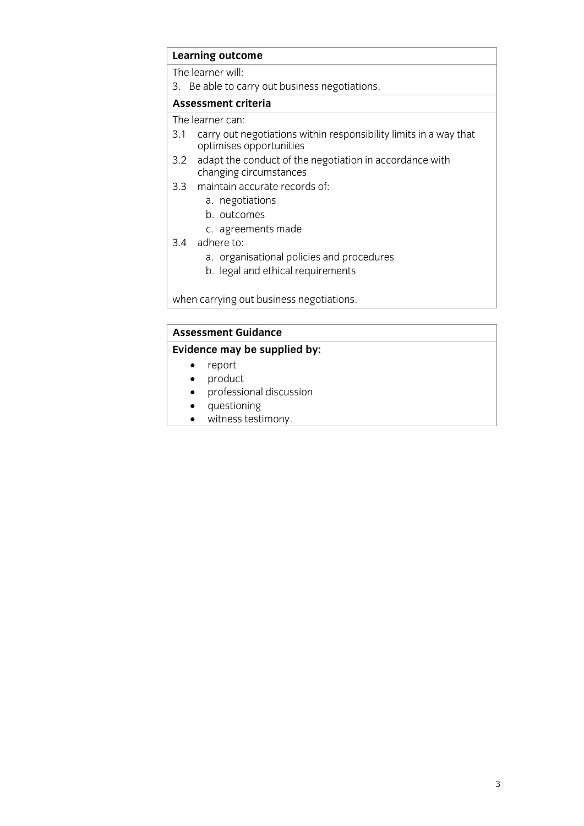### **Learning outcome**<br>The learner will:

3. Be able to carry out business negotiations.

#### Assessment criteria

The learner can:

- 3.1 carry out negotiations within responsibility limits in a way that optimises opportunities
- 3.2 adapt the conduct of the negotiation in accordance with changing circumstances
- 3.3 maintain accurate records of:
	- a. negotiations
	- b. outcomes
	- c. agreements made
- $3.4$  adhere to:
	- a. organisational policies and procedures
	- b. legal and ethical requirements  $\mathbf{b}$

when carrying out business negotiations.

## **Assessment Guidance**<br>**Evidence may be supplied by:**

- **Evidence** may be supply that the supplier of the supplier of the supplier of the supplier of the supplier of the supplier of the supplier of the supplier of the supplier of the supplier of the supplier of the supplier of
	- product<br>• professie
	- professional discussion
	- questioning<br>• witness testi
	- witness testimony.